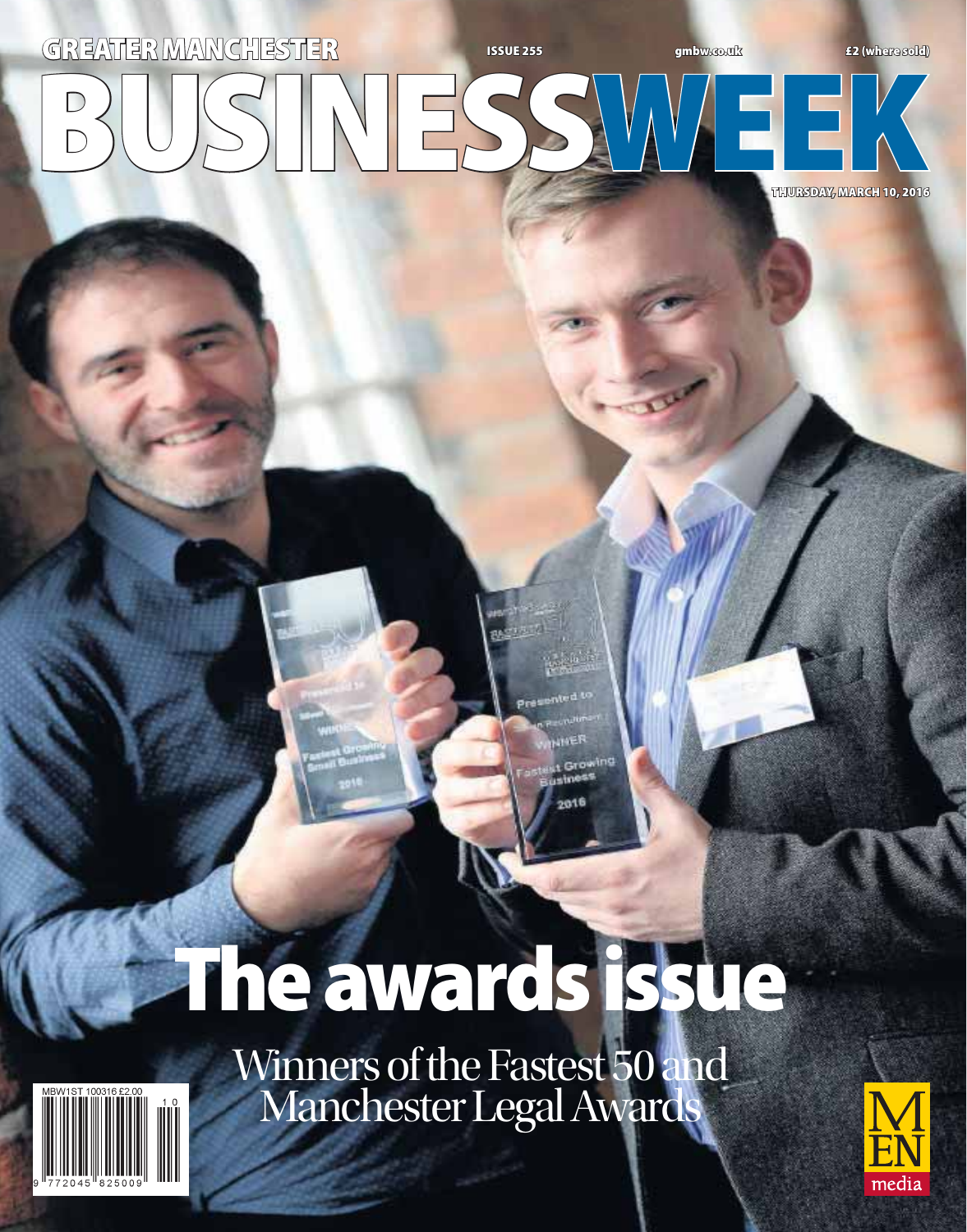## **BUSINESS WEEK GREATER MANCHESTER ISSUE 255 gmbw.co.uk £2 (where sold) THURSDAY, MARCH 10, 2016**

# **The awards issue**

Growing aime 5

Winners of the Fastest 50 and Manchester Legal Awards



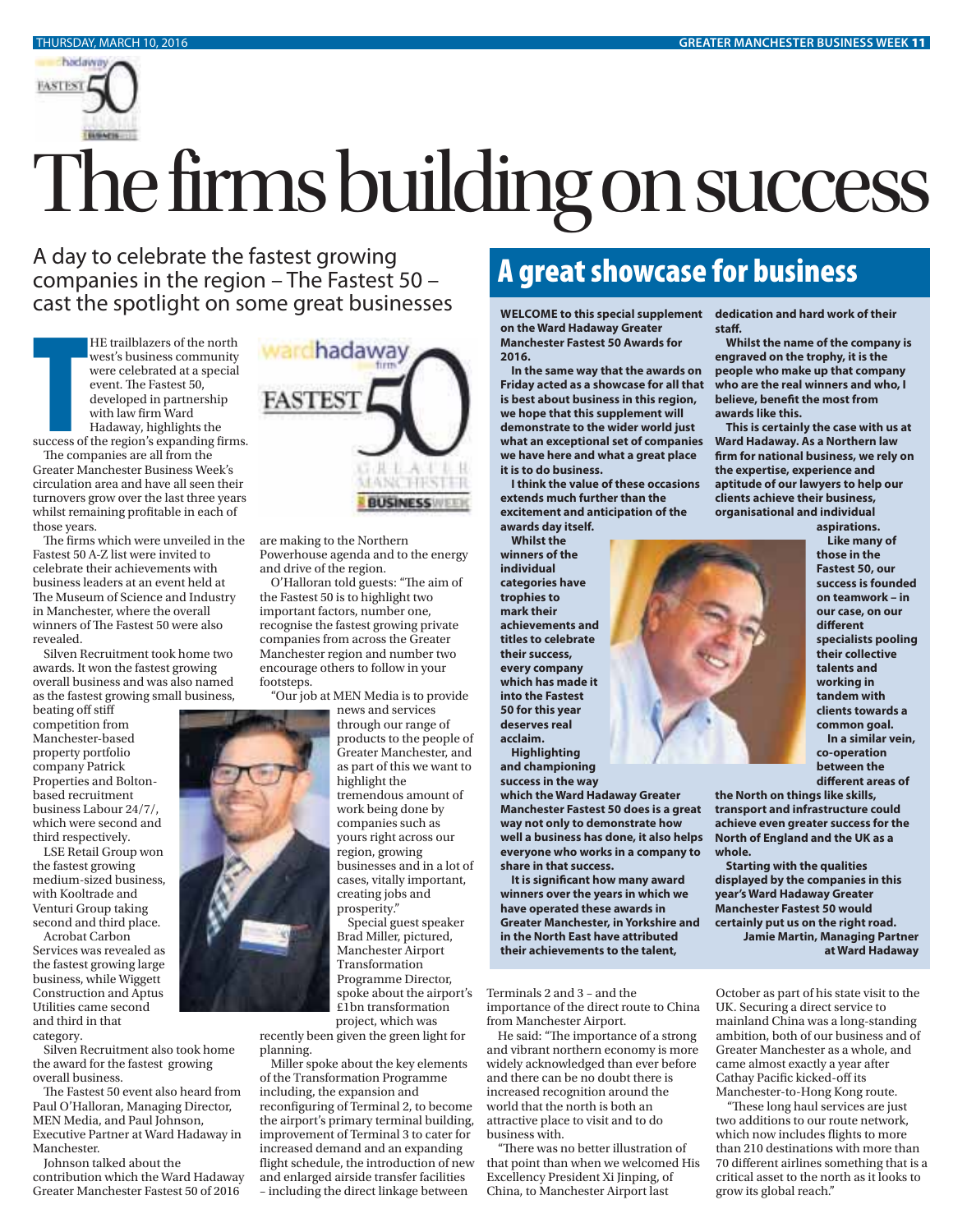

# The firms building on success

A day to celebrate the fastest growing companies in the region – The Fastest 50 – cast the spotlight on some great businesses

> HE trailblazers of the north west's business community were celebrated at a special event. The Fastest 50, developed in partnership with law firm Ward Hadaway, highlights the

success of the region's expanding firms.

success of<br>The com<br>Greater M.<br>circulation<br>turnovers<br>whilst rem<br>The firm<br>Fastest 50<br>celebrate t The companies are all from the Greater Manchester Business Week's circulation area and have all seen their turnovers grow over the last three years whilst remaining profitable in each of those years.

The firms which were unveiled in the Fastest 50 A-Z list were invited to celebrate their achievements with business leaders at an event held at The Museum of Science and Industry in Manchester, where the overall winners of The Fastest 50 were also revealed.

Silven Recruitment took home two awards. It won the fastest growing overall business and was also named as the fastest growing small business,

beating off stiff competition from Manchester-based property portfolio company Patrick Properties and Boltonbased recruitment business Labour 24/7/, which were second and third respectively.

LSE Retail Group won the fastest growing medium-sized business, with Kooltrade and Venturi Group taking second and third place.

Acrobat Carbon Services was revealed as the fastest growing large business, while Wiggett Construction and Aptus Utilities came second and third in that

category.

Silven Recruitment also took home the award for the fastest growing overall business.

The Fastest 50 event also heard from Paul O'Halloran, Managing Director, MEN Media, and Paul Johnson, Executive Partner at Ward Hadaway in Manchester.

Johnson talked about the contribution which the Ward Hadaway Greater Manchester Fastest 50 of 2016



are making to the Northern Powerhouse agenda and to the energy and drive of the region.

O'Halloran told guests: "The aim of the Fastest 50 is to highlight two important factors, number one, recognise the fastest growing private companies from across the Greater Manchester region and number two encourage others to follow in your footsteps.

"Our job at MEN Media is to provide news and services



through our range of products to the people of Greater Manchester, and as part of this we want to highlight the tremendous amount of work being done by companies such as yours right across our region, growing businesses and in a lot of cases, vitally important, creating jobs and prosperity."

Special guest speaker Brad Miller, pictured, Manchester Airport Transformation Programme Director, spoke about the airport's £1bn transformation project, which was

recently been given the green light for planning.

Miller spoke about the key elements of the Transformation Programme including, the expansion and reconfiguring of Terminal 2, to become the airport's primary terminal building, improvement of Terminal 3 to cater for increased demand and an expanding flight schedule, the introduction of new and enlarged airside transfer facilities – including the direct linkage between

**A great show case of the business of the business of the state of their well control to this special supplement dedication and hard work of their on the Ward Hadaway Greater Manchester Fastest 50 Awards for 2016.**

**In the same way that the awards on Friday acted as a showcase for all that is best about business in this region, we hope that this supplement will demonstrate to the wider world just what an exceptional set of companies we have here and what a great place it is to do business.**

**I think the value of these occasions extends much further than the excitement and anticipation of the awards day itself.**

**Whilst the winners of the individual categories have trophies to mark their achievements and titles to celebrate their success, every company which has made it into the Fastest 50 for this year deserves real acclaim.**

**Highlighting and championing success in the way** 

**which the Ward Hadaway Greater Manchester Fastest 50 does is a great way not only to demonstrate how well a business has done, it also helps everyone who works in a company to share in that success.**

**It is significant how many award winners over the years in which we have operated these awards in Greater Manchester, in Yorkshire and in the North East have attributed their achievements to the talent,** 

Terminals 2 and 3 – and the importance of the direct route to China from Manchester Airport.

He said: "The importance of a strong and vibrant northern economy is more widely acknowledged than ever before and there can be no doubt there is increased recognition around the world that the north is both an attractive place to visit and to do business with.

"There was no better illustration of that point than when we welcomed His Excellency President Xi Jinping, of China, to Manchester Airport last

**staff.**

**Whilst the name of the company is engraved on the trophy, it is the people who make up that company who are the real winners and who, I believe, benefit the most from awards like this.**

**This is certainly the case with us at Ward Hadaway. As a Northern law firm for national business, we rely on the expertise, experience and aptitude of our lawyers to help our clients achieve their business, organisational and individual aspirations.**

**Like many of those in the Fastest 50, our success is founded on teamwork – in our case, on our different specialists pooling their collective talents and working in tandem with clients towards a common goal. In a similar vein, co-operation between the different areas of** 

**the North on things like skills, transport and infrastructure could achieve even greater success for the North of England and the UK as a whole.**

**Starting with the qualities displayed by the companies in this year's Ward Hadaway Greater Manchester Fastest 50 would certainly put us on the right road. Jamie Martin, Managing Partner at Ward Hadaway**

October as part of his state visit to the UK. Securing a direct service to mainland China was a long-standing ambition, both of our business and of Greater Manchester as a whole, and came almost exactly a year after Cathay Pacific kicked-off its Manchester-to-Hong Kong route.

"These long haul services are just two additions to our route network, which now includes flights to more than 210 destinations with more than 70 different airlines something that is a critical asset to the north as it looks to grow its global reach."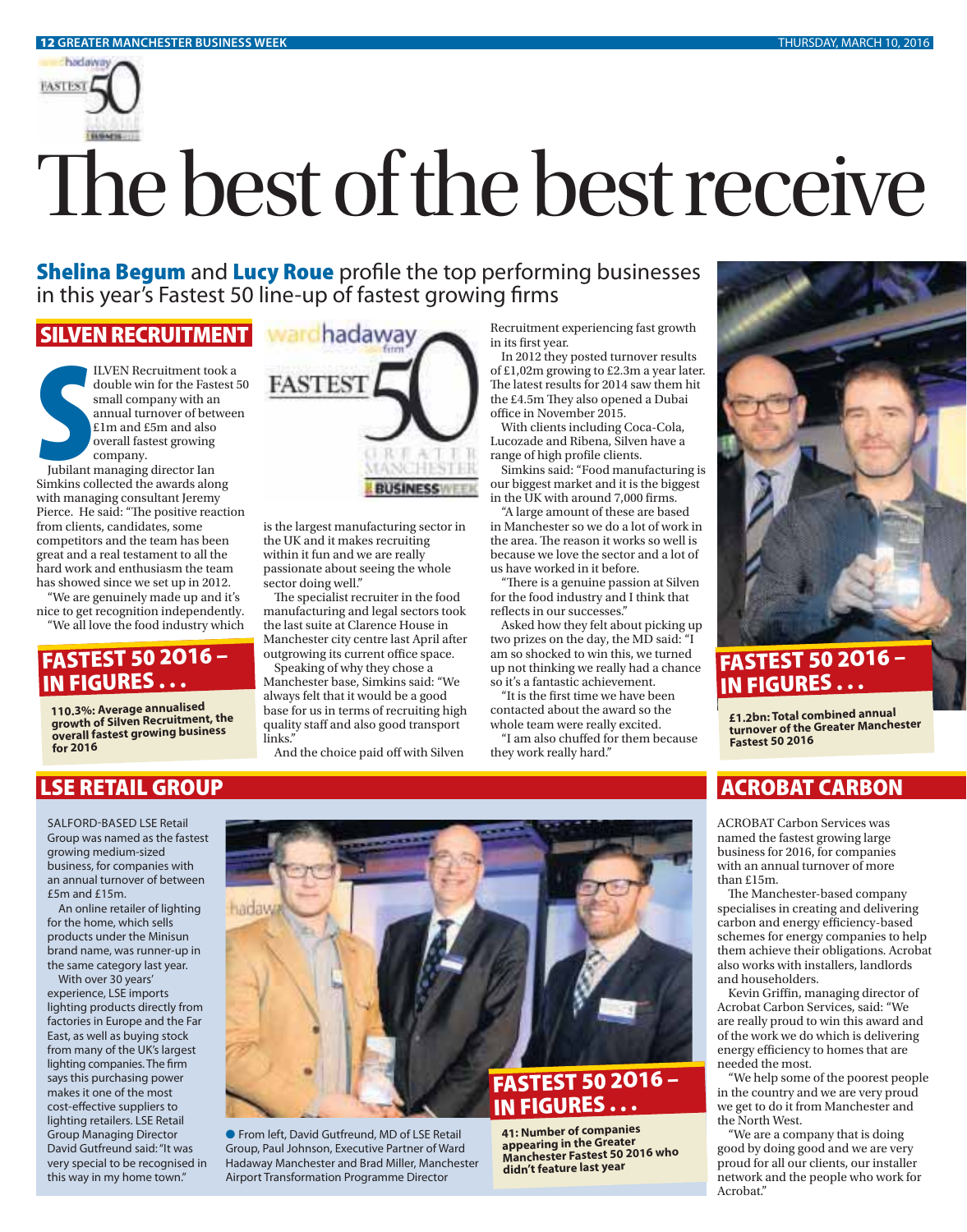

# The best of the best receive

**Shelina Begum** and **Lucy Roue** profile the top performing businesses in this year's Fastest 50 line-up of fastest growing firms

### **SILVEN RECRUIT**

ILVEN Recruitment took a double win for the Fastest 50 small company with an annual turnover of between £1m and £5m and also overall fastest growing company.

Jubilant managing director Ian Simkins collected the awards along with managing consultant Jeremy Pierce. He said: "The positive reaction from clients, candidates, some competitors and the team has been great and a real testament to all the hard work and enthusiasm the team has showed since we set up in 2012.

"We are genuinely made up and it's nice to get recognition independently. "We all love the food industry which

### **FASTEST 50 2O16 – IN FIGURES . . .**

**110.3%: Average annualised growth of Silven Recruitment, the overall fastest growing business for 2016**

### **LSE RETAIL GROUP**

SALFORD-BASED LSE Retail Group was named as the fastest growing medium-sized business, for companies with an annual turnover of between £5m and £15m.

An online retailer of lighting for the home, which sells products under the Minisun brand name, was runner-up in the same category last year.

With over 30 years' experience, LSE imports lighting products directly from factories in Europe and the Far East, as well as buying stock from many of the UK's largest lighting companies. The firm says this purchasing power makes it one of the most cost-effective suppliers to lighting retailers. LSE Retail Group Managing Director David Gutfreund said: "It was very special to be recognised in this way in my home town."



is the largest manufacturing sector in the UK and it makes recruiting within it fun and we are really passionate about seeing the whole sector doing well."

The specialist recruiter in the food manufacturing and legal sectors took the last suite at Clarence House in Manchester city centre last April after outgrowing its current office space.

Speaking of why they chose a Manchester base, Simkins said: "We always felt that it would be a good base for us in terms of recruiting high quality staff and also good transport links.'

And the choice paid off with Silven

Recruitment experiencing fast growth in its first year.

In 2012 they posted turnover results of £1,02m growing to £2.3m a year later. The latest results for 2014 saw them hit the £4.5m They also opened a Dubai office in November 2015.

With clients including Coca-Cola, Lucozade and Ribena, Silven have a range of high profile clients.

Simkins said: "Food manufacturing is our biggest market and it is the biggest in the UK with around 7,000 firms.

"A large amount of these are based in Manchester so we do a lot of work in the area. The reason it works so well is because we love the sector and a lot of us have worked in it before.

"There is a genuine passion at Silven for the food industry and I think that reflects in our successes."

Asked how they felt about picking up two prizes on the day, the MD said: "I am so shocked to win this, we turned up not thinking we really had a chance so it's a fantastic achievement.

"It is the first time we have been contacted about the award so the whole team were really excited.

"I am also chuffed for them because they work really hard."



### **FASTEST 50 2O16 – IN FIGURES . . .**

**£1.2bn: Total combined annua<sup>l</sup> turnover of the Greater Manchester Fastest 50 2016**

## **ACROBAT CARBON**

ACROBAT Carbon Services was named the fastest growing large business for 2016, for companies with an annual turnover of more than £15m.

The Manchester-based company specialises in creating and delivering carbon and energy efficiency-based schemes for energy companies to help them achieve their obligations. Acrobat also works with installers, landlords and householders.

Kevin Griffin, managing director of Acrobat Carbon Services, said: "We are really proud to win this award and of the work we do which is delivering energy efficiency to homes that are needed the most.

"We help some of the poorest people in the country and we are very proud we get to do it from Manchester and the North West.

"We are a company that is doing good by doing good and we are very proud for all our clients, our installer network and the people who work for Acrobat."



● From left, David Gutfreund, MD of LSE Retail Group, Paul Johnson, Executive Partner of Ward Hadaway Manchester and Brad Miller, Manchester Airport Transformation Programme Director

**41: Number of companies appearing in the Greater Manchester Fastest 50 2016 who didn't feature last year**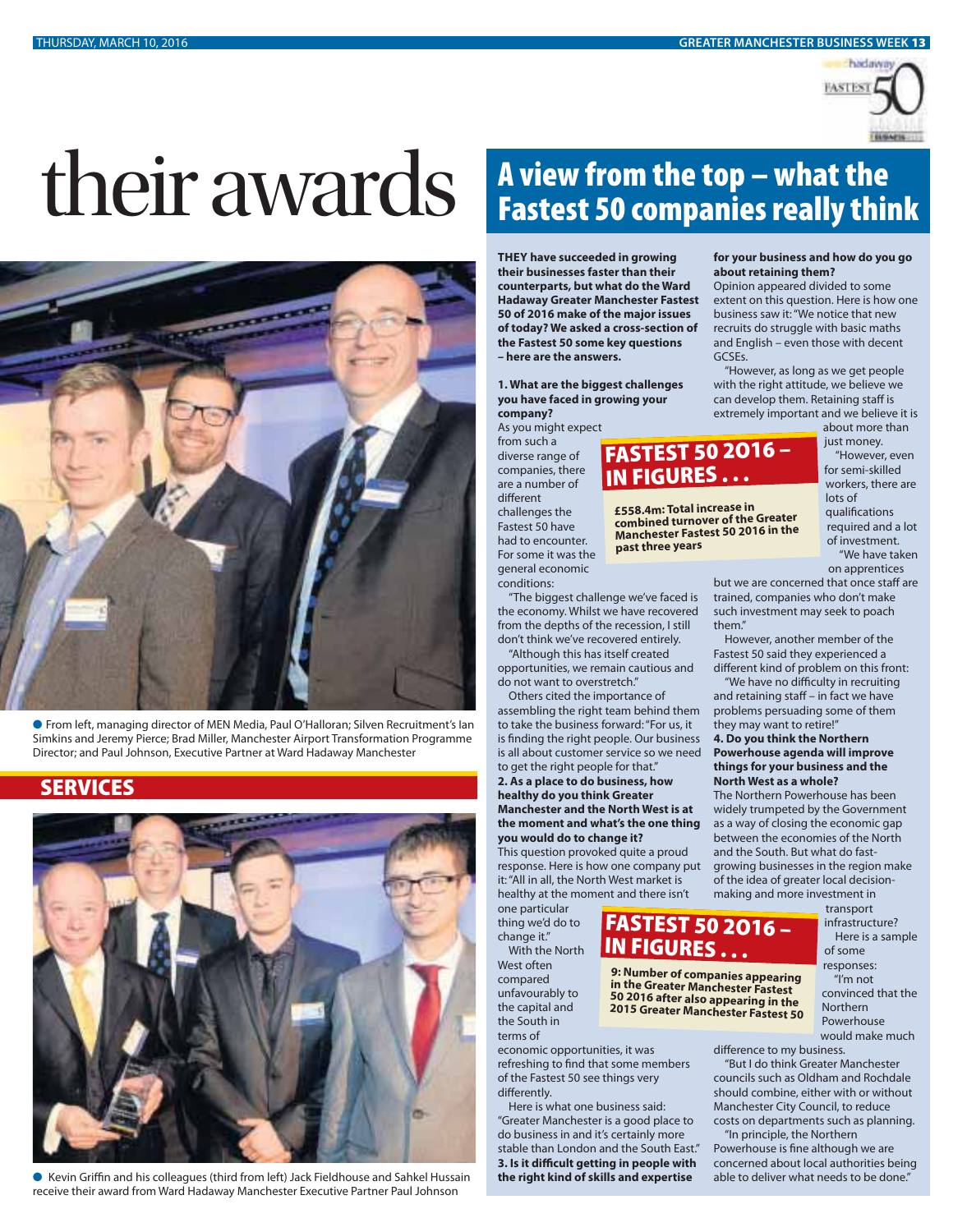

# their awards **A view from the top – what the**



M From left, managing director of MEN Media, Paul O'Halloran; Silven Recruitment's Ian Simkins and Jeremy Pierce; Brad Miller, Manchester Airport Transformation Programme Director; and Paul Johnson, Executive Partner at Ward Hadaway Manchester

### **SERVICES**



● Kevin Griffin and his colleagues (third from left) Jack Fieldhouse and Sahkel Hussain receive their award from Ward Hadaway Manchester Executive Partner Paul Johnson

# **Fastest 50 companies really think**

**IN FIGURES . . .**

**past three years**

**£558.4m: Total increase in combined turnover of the Greater Manchester Fastest 50 2016 in the** 

**FASTEST 50 2O16 –** 

**9: Number of companies appearing in the Greater Manchester Fastest 50 2016 after also appearing in the 2015 Greater Manchester Fastest 50**

**IN FIGURES . . .**

**THEY have succeeded in growing their businesses faster than their counterparts, but what do the Ward Hadaway Greater Manchester Fastest 50 of 2016 make of the major issues of today? We asked a cross-section of the Fastest 50 some key questions – here are the answers.**

**1. What are the biggest challenges you have faced in growing your company?**

As you might expect

from such a diverse range of companies, there are a number of different challenges the Fastest 50 have had to encounter. For some it was the general economic

conditions:

"The biggest challenge we've faced is the economy. Whilst we have recovered from the depths of the recession, I still don't think we've recovered entirely. "Although this has itself created

opportunities, we remain cautious and do not want to overstretch."

Others cited the importance of assembling the right team behind them to take the business forward: "For us, it is finding the right people. Our business is all about customer service so we need to get the right people for that." **2. As a place to do business, how healthy do you think Greater** 

**Manchester and the North West is at the moment and what's the one thing you would do to change it?**

This question provoked quite a proud response. Here is how one company put it: "All in all, the North West market is healthy at the moment and there isn't

one particular thing we'd do to change it."

With the North West often compared unfavourably to the capital and the South in terms of

economic opportunities, it was refreshing to find that some members of the Fastest 50 see things very

differently.

Here is what one business said: "Greater Manchester is a good place to do business in and it's certainly more stable than London and the South East." **3. Is it difficult getting in people with the right kind of skills and expertise** 

### **for your business and how do you go about retaining them?**

Opinion appeared divided to some extent on this question. Here is how one business saw it: "We notice that new recruits do struggle with basic maths and English – even those with decent GCSEs.

"However, as long as we get people with the right attitude, we believe we can develop them. Retaining staff is extremely important and we believe it is

about more than just money. **FASTEST 50 2O16 –** 

"However, even for semi-skilled workers, there are lots of qualifications required and a lot of investment. "We have taken on apprentices

but we are concerned that once staff are trained, companies who don't make such investment may seek to poach them."

However, another member of the Fastest 50 said they experienced a different kind of problem on this front:

"We have no difficulty in recruiting and retaining staff – in fact we have problems persuading some of them they may want to retire!"

### **4. Do you think the Northern Powerhouse agenda will improve things for your business and the North West as a whole?**

The Northern Powerhouse has been widely trumpeted by the Government as a way of closing the economic gap between the economies of the North and the South. But what do fastgrowing businesses in the region make of the idea of greater local decisionmaking and more investment in

transport infrastructure? Here is a sample of some responses:

"I'm not convinced that the Northern Powerhouse would make much

difference to my business.

"But I do think Greater Manchester councils such as Oldham and Rochdale should combine, either with or without Manchester City Council, to reduce costs on departments such as planning.

"In principle, the Northern Powerhouse is fine although we are concerned about local authorities being able to deliver what needs to be done."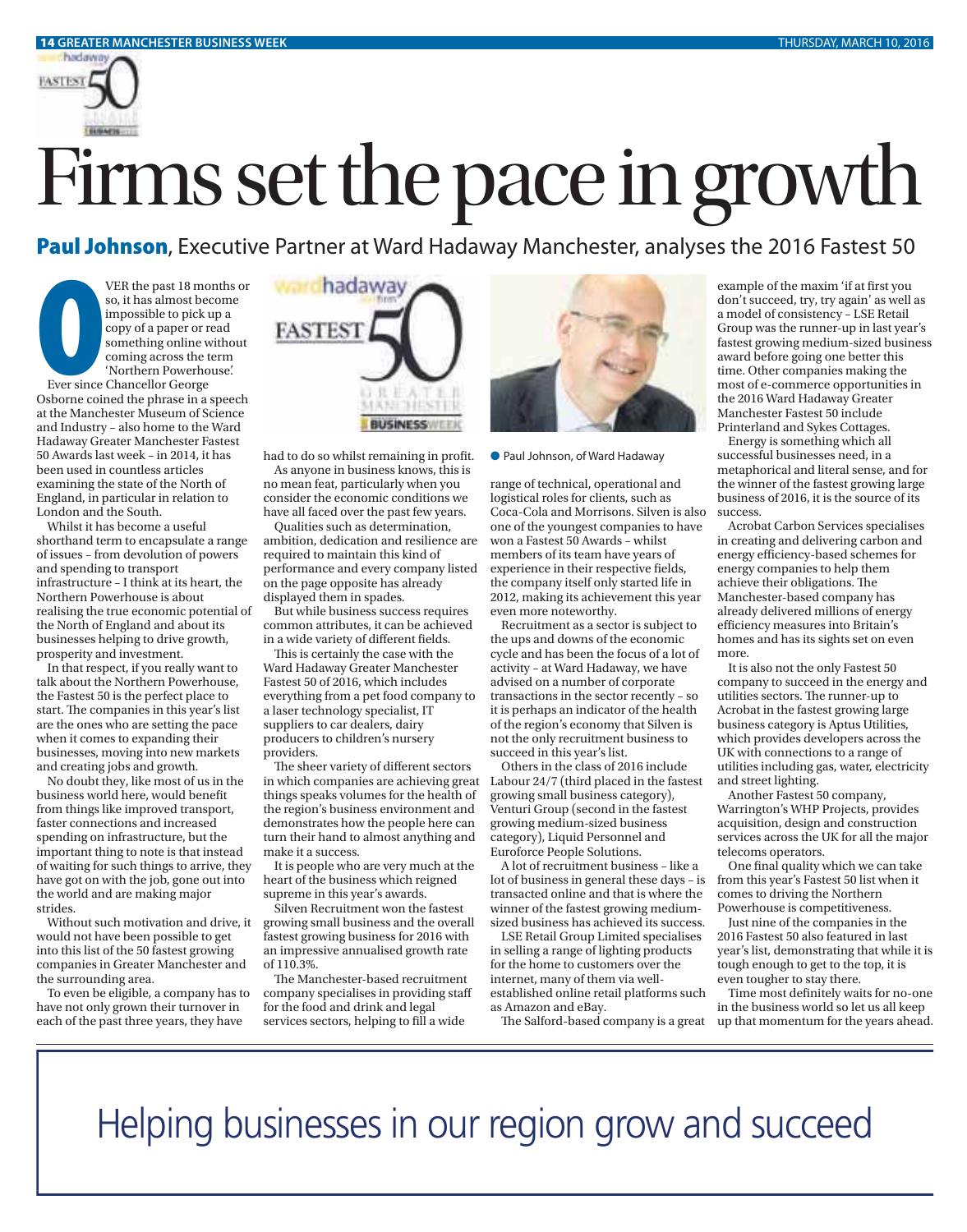

**Paul Johnson**, Executive Partner at Ward Hadaway Manchester, analyses the 2016 Fastest 50 **Paul Johnson**, Executive Partner at Ward Hadaway Manchester, analyses the 2016 Fastest 50

Paul Jo VER the past 18 months or so, it has almost become impossible to pick up a copy of a paper or read something online without coming across the term 'Northern Powerhouse'.

Ever since Chancellor George Osborne coined the phrase in a speech at the Manchester Museum of Science and Industry – also home to the Ward Hadaway Greater Manchester Fastest 50 Awards last week – in 2014, it has been used in countless articles examining the state of the North of England, in particular in relation to London and the South.

Whilst it has become a useful shorthand term to encapsulate a range of issues – from devolution of powers and spending to transport infrastructure – I think at its heart, the Northern Powerhouse is about realising the true economic potential of the North of England and about its businesses helping to drive growth, prosperity and investment.

In that respect, if you really want to talk about the Northern Powerhouse, the Fastest 50 is the perfect place to start. The companies in this year's list are the ones who are setting the pace when it comes to expanding their businesses, moving into new markets and creating jobs and growth.

No doubt they, like most of us in the business world here, would benefit from things like improved transport, faster connections and increased spending on infrastructure, but the important thing to note is that instead of waiting for such things to arrive, they have got on with the job, gone out into the world and are making major strides.

Without such motivation and drive, it would not have been possible to get into this list of the 50 fastest growing companies in Greater Manchester and the surrounding area.

To even be eligible, a company has to have not only grown their turnover in each of the past three years, they have



had to do so whilst remaining in profit. <br>
• Paul Johnson, of Ward Hadaway

As anyone in business knows, this is no mean feat, particularly when you consider the economic conditions we have all faced over the past few years.

Qualities such as determination, ambition, dedication and resilience are required to maintain this kind of performance and every company listed on the page opposite has already displayed them in spades.

But while business success requires common attributes, it can be achieved in a wide variety of different fields.

This is certainly the case with the Ward Hadaway Greater Manchester Fastest 50 of 2016, which includes everything from a pet food company to a laser technology specialist, IT suppliers to car dealers, dairy producers to children's nursery providers.

The sheer variety of different sectors in which companies are achieving great things speaks volumes for the health of the region's business environment and demonstrates how the people here can turn their hand to almost anything and make it a success.

It is people who are very much at the heart of the business which reigned supreme in this year's awards.

Silven Recruitment won the fastest growing small business and the overall fastest growing business for 2016 with an impressive annualised growth rate of 110.3%.

The Manchester-based recruitment company specialises in providing staff for the food and drink and legal services sectors, helping to fill a wide



range of technical, operational and logistical roles for clients, such as Coca-Cola and Morrisons. Silven is also one of the youngest companies to have won a Fastest 50 Awards – whilst members of its team have years of experience in their respective fields, the company itself only started life in 2012, making its achievement this year even more noteworthy.

Recruitment as a sector is subject to the ups and downs of the economic cycle and has been the focus of a lot of activity – at Ward Hadaway, we have advised on a number of corporate transactions in the sector recently – so it is perhaps an indicator of the health of the region's economy that Silven is not the only recruitment business to succeed in this year's list.

Others in the class of 2016 include Labour 24/7 (third placed in the fastest growing small business category), Venturi Group (second in the fastest growing medium-sized business category), Liquid Personnel and Euroforce People Solutions.

A lot of recruitment business – like a lot of business in general these days – is transacted online and that is where the winner of the fastest growing mediumsized business has achieved its success.

LSE Retail Group Limited specialises in selling a range of lighting products for the home to customers over the internet, many of them via wellestablished online retail platforms such as Amazon and eBay.

example of the maxim 'if at first you don't succeed, try, try again' as well as a model of consistency – LSE Retail Group was the runner-up in last year's fastest growing medium-sized business award before going one better this time. Other companies making the most of e-commerce opportunities in the 2016 Ward Hadaway Greater Manchester Fastest 50 include Printerland and Sykes Cottages.

Energy is something which all successful businesses need, in a metaphorical and literal sense, and for the winner of the fastest growing large business of 2016, it is the source of its success.

Acrobat Carbon Services specialises in creating and delivering carbon and energy efficiency-based schemes for energy companies to help them achieve their obligations. The Manchester-based company has already delivered millions of energy efficiency measures into Britain's homes and has its sights set on even more.

It is also not the only Fastest 50 company to succeed in the energy and utilities sectors. The runner-up to Acrobat in the fastest growing large business category is Aptus Utilities, which provides developers across the UK with connections to a range of utilities including gas, water, electricity and street lighting.

Another Fastest 50 company, Warrington's WHP Projects, provides acquisition, design and construction services across the UK for all the major telecoms operators.

One final quality which we can take from this year's Fastest 50 list when it comes to driving the Northern Powerhouse is competitiveness.

Just nine of the companies in the 2016 Fastest 50 also featured in last year's list, demonstrating that while it is tough enough to get to the top, it is even tougher to stay there.

The Salford-based company is a great up that momentum for the years ahead. Time most definitely waits for no-one in the business world so let us all keep

Helping businesses in our region grow and succeed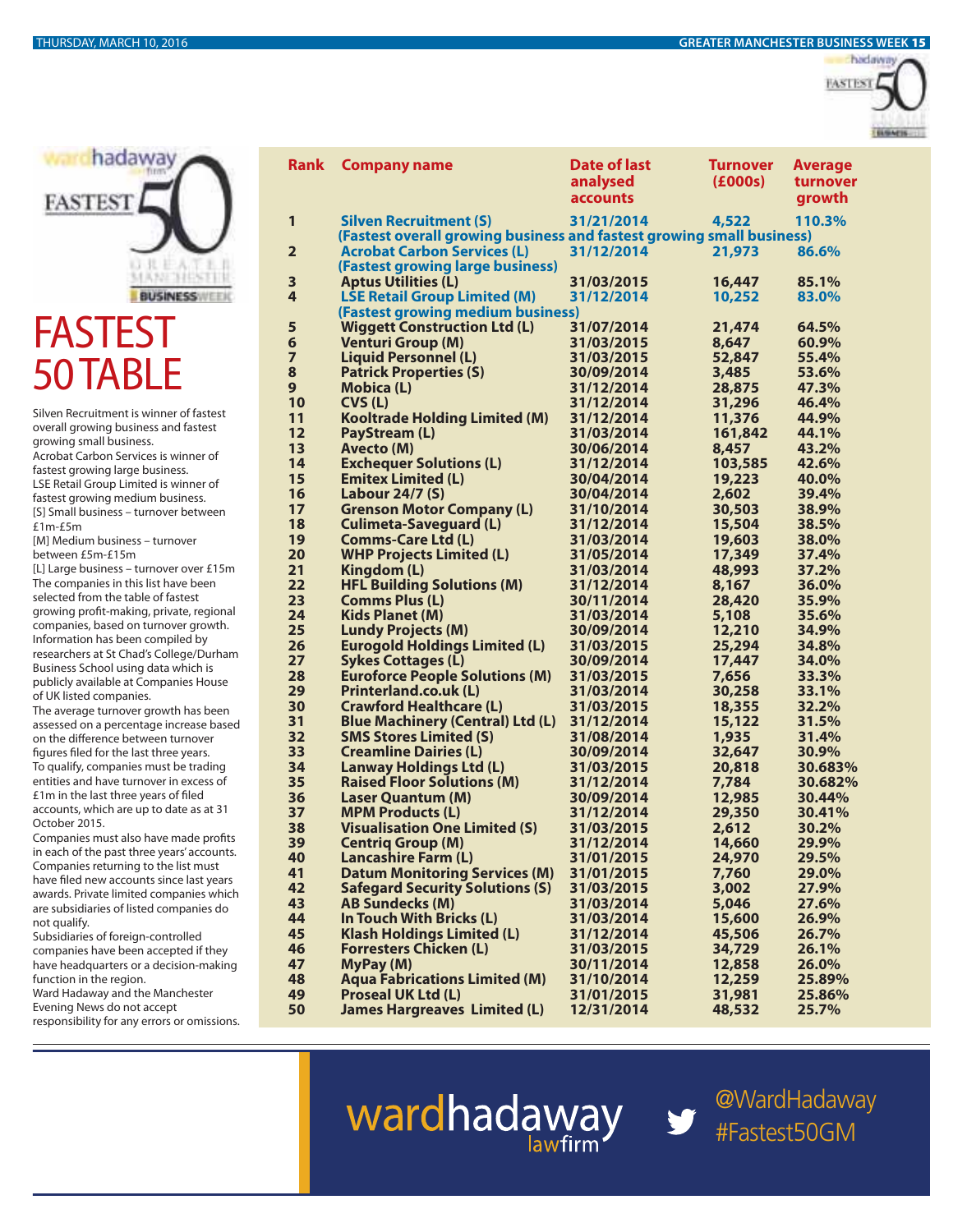



## **FASTES** 50 TABLE

Silven Recruitment is winner of fastest overall growing business and fastest growing small business. Acrobat Carbon Services is winner of fastest growing large business. LSE Retail Group Limited is winner of fastest growing medium business. [S] Small business – turnover between £1m-£5m [M] Medium business – turnover between £5m-£15m [L] Large business – turnover over £15m The companies in this list have been selected from the table of fastest growing profit-making, private, regional companies, based on turnover growth. Information has been compiled by researchers at St Chad's College/Durham

Business School using data which is publicly available at Companies House of UK listed companies. The average turnover growth has been

assessed on a percentage increase based on the difference between turnover figures filed for the last three years. To qualify, companies must be trading entities and have turnover in excess of £1m in the last three years of filed accounts, which are up to date as at 31 October 2015.

Companies must also have made profits in each of the past three years' accounts. Companies returning to the list must have filed new accounts since last years awards. Private limited companies which are subsidiaries of listed companies do not qualify.

Subsidiaries of foreign-controlled companies have been accepted if they have headquarters or a decision-making function in the region. Ward Hadaway and the Manchester

Evening News do not accept responsibility for any errors or omissions.

| <b>Rank</b>             | <b>Company name</b>                                                    | <b>Date of last</b><br>analysed<br><b>accounts</b> | <b>Turnover</b><br>(£000s) | <b>Average</b><br>turnover<br>growth |
|-------------------------|------------------------------------------------------------------------|----------------------------------------------------|----------------------------|--------------------------------------|
| 1                       | <b>Silven Recruitment (S)</b>                                          | 31/21/2014                                         | 4,522                      | 110.3%                               |
|                         | (Fastest overall growing business and fastest growing small business)  |                                                    |                            |                                      |
| $\overline{\mathbf{2}}$ | <b>Acrobat Carbon Services (L)</b><br>(Fastest growing large business) | 31/12/2014                                         | 21,973                     | 86.6%                                |
| 3                       | <b>Aptus Utilities (L)</b>                                             | 31/03/2015                                         | 16,447                     | 85.1%                                |
| 4                       | <b>LSE Retail Group Limited (M)</b>                                    | 31/12/2014                                         | 10,252                     | 83.0%                                |
|                         | (Fastest growing medium business)                                      |                                                    |                            |                                      |
| 5                       | <b>Wiggett Construction Ltd (L)</b>                                    | 31/07/2014                                         | 21,474                     | 64.5%                                |
| 6                       | <b>Venturi Group (M)</b>                                               | 31/03/2015                                         | 8,647                      | 60.9%                                |
| 7                       | <b>Liquid Personnel (L)</b>                                            | 31/03/2015                                         | 52,847                     | 55.4%                                |
| 8                       | <b>Patrick Properties (S)</b>                                          | 30/09/2014                                         | 3,485                      | 53.6%                                |
| 9<br>10                 | <b>Mobica (L)</b>                                                      | 31/12/2014<br>31/12/2014                           | 28,875                     | 47.3%<br>46.4%                       |
| 11                      | CVS (L)<br><b>Kooltrade Holding Limited (M)</b>                        | 31/12/2014                                         | 31,296<br>11,376           | 44.9%                                |
| 12                      | <b>PayStream (L)</b>                                                   | 31/03/2014                                         | 161,842                    | 44.1%                                |
| 13                      | <b>Avecto (M)</b>                                                      | 30/06/2014                                         | 8,457                      | 43.2%                                |
| 14                      | <b>Exchequer Solutions (L)</b>                                         | 31/12/2014                                         | 103,585                    | 42.6%                                |
| 15                      | <b>Emitex Limited (L)</b>                                              | 30/04/2014                                         | 19,223                     | 40.0%                                |
| 16                      | <b>Labour 24/7 (S)</b>                                                 | 30/04/2014                                         | 2,602                      | 39.4%                                |
| 17                      | <b>Grenson Motor Company (L)</b>                                       | 31/10/2014                                         | 30,503                     | 38.9%                                |
| 18                      | <b>Culimeta-Saveguard (L)</b>                                          | 31/12/2014                                         | 15,504                     | 38.5%                                |
| 19                      | <b>Comms-Care Ltd (L)</b>                                              | 31/03/2014                                         | 19,603                     | 38.0%                                |
| 20                      | <b>WHP Projects Limited (L)</b>                                        | 31/05/2014                                         | 17,349                     | 37.4%                                |
| 21                      | Kingdom (L)                                                            | 31/03/2014                                         | 48,993                     | 37.2%                                |
| 22                      | <b>HFL Building Solutions (M)</b>                                      | 31/12/2014                                         | 8,167                      | 36.0%                                |
| 23                      | <b>Comms Plus (L)</b>                                                  | 30/11/2014                                         | 28,420                     | 35.9%                                |
| 24                      | <b>Kids Planet (M)</b>                                                 | 31/03/2014                                         | 5,108                      | 35.6%                                |
| 25                      | <b>Lundy Projects (M)</b>                                              | 30/09/2014                                         | 12,210                     | 34.9%                                |
| 26                      | <b>Eurogold Holdings Limited (L)</b>                                   | 31/03/2015                                         | 25,294                     | 34.8%                                |
| 27                      | <b>Sykes Cottages (L)</b>                                              | 30/09/2014                                         | 17,447                     | 34.0%                                |
| 28                      | <b>Euroforce People Solutions (M)</b>                                  | 31/03/2015                                         | 7,656                      | 33.3%                                |
| 29                      | <b>Printerland.co.uk (L)</b>                                           | 31/03/2014                                         | 30,258                     | 33.1%                                |
| 30                      | <b>Crawford Healthcare (L)</b>                                         | 31/03/2015                                         | 18,355                     | 32.2%                                |
| 31                      | <b>Blue Machinery (Central) Ltd (L)</b>                                | 31/12/2014                                         | 15,122                     | 31.5%                                |
| 32                      | <b>SMS Stores Limited (S)</b>                                          | 31/08/2014                                         | 1,935                      | 31.4%                                |
| 33                      | <b>Creamline Dairies (L)</b>                                           | 30/09/2014                                         | 32,647                     | 30.9%                                |
| 34                      | <b>Lanway Holdings Ltd (L)</b>                                         | 31/03/2015                                         | 20,818<br>7,784            | 30.683%                              |
| 35<br>36                | <b>Raised Floor Solutions (M)</b><br><b>Laser Quantum (M)</b>          | 31/12/2014<br>30/09/2014                           |                            | 30.682%<br>30.44%                    |
| 37                      | <b>MPM Products (L)</b>                                                | 31/12/2014                                         | 12,985<br>29,350           | 30.41%                               |
| 38                      | <b>Visualisation One Limited (S)</b>                                   | 31/03/2015                                         | 2,612                      | 30.2%                                |
| 39                      | <b>Centriq Group (M)</b>                                               | 31/12/2014                                         | 14,660                     | 29.9%                                |
| 40                      | <b>Lancashire Farm (L)</b>                                             | 31/01/2015                                         | 24,970                     | 29.5%                                |
| 41                      | <b>Datum Monitoring Services (M)</b>                                   | 31/01/2015                                         | 7,760                      | 29.0%                                |
| 42                      | <b>Safegard Security Solutions (S)</b>                                 | 31/03/2015                                         | 3,002                      | 27.9%                                |
| 43                      | <b>AB Sundecks (M)</b>                                                 | 31/03/2014                                         | 5,046                      | 27.6%                                |
| 44                      | In Touch With Bricks (L)                                               | 31/03/2014                                         | 15,600                     | 26.9%                                |
| 45                      | <b>Klash Holdings Limited (L)</b>                                      | 31/12/2014                                         | 45,506                     | 26.7%                                |
| 46                      | <b>Forresters Chicken (L)</b>                                          | 31/03/2015                                         | 34,729                     | 26.1%                                |
| 47                      | MyPay (M)                                                              | 30/11/2014                                         | 12,858                     | 26.0%                                |
| 48                      | <b>Aqua Fabrications Limited (M)</b>                                   | 31/10/2014                                         | 12,259                     | 25.89%                               |
| 49                      | <b>Proseal UK Ltd (L)</b>                                              | 31/01/2015                                         | 31,981                     | 25.86%                               |
| 50                      | <b>James Hargreaves Limited (L)</b>                                    | 12/31/2014                                         | 48,532                     | 25.7%                                |

wardhadaway

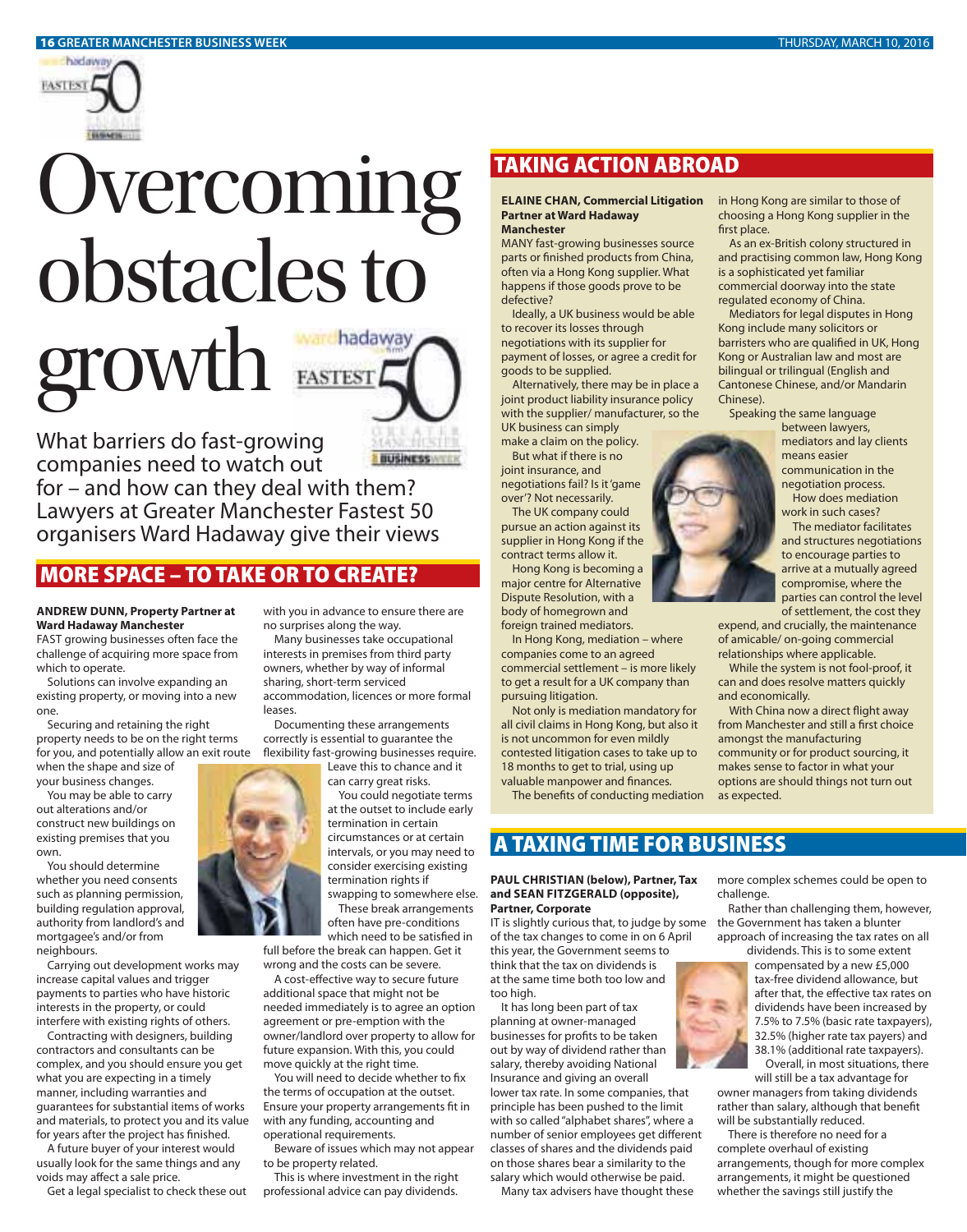

# Overcoming<br>obstacles to growth **EASTEST**



**INUSINESS** 

**CONTENDAM**<br>
What barriers do fast-growing<br>
companies need to watch out What barriers do fast-growing

for – and how can they deal with them? Lawyers at Greater Manchester Fastest 50 organisers Ward Hadaway give their views

### **MORE SPACE – TO TAKE OR TO CREATE?**

### **ANDREW DUNN, Property Partner at Ward Hadaway Manchester**

FAST growing businesses often face the challenge of acquiring more space from which to operate.

Solutions can involve expanding an existing property, or moving into a new one.

Securing and retaining the right property needs to be on the right terms for you, and potentially allow an exit route when the shape and size of

your business changes. You may be able to carry

out alterations and/or construct new buildings on existing premises that you own.

You should determine whether you need consents such as planning permission, building regulation approval, authority from landlord's and mortgagee's and/or from neighbours.

Carrying out development works may increase capital values and trigger payments to parties who have historic interests in the property, or could interfere with existing rights of others.

Contracting with designers, building contractors and consultants can be complex, and you should ensure you get what you are expecting in a timely manner, including warranties and guarantees for substantial items of works and materials, to protect you and its value for years after the project has finished.

A future buyer of your interest would usually look for the same things and any voids may affect a sale price.

Get a legal specialist to check these out

with you in advance to ensure there are no surprises along the way.

Many businesses take occupational interests in premises from third party owners, whether by way of informal sharing, short-term serviced accommodation, licences or more formal leases.

Documenting these arrangements correctly is essential to guarantee the flexibility fast-growing businesses require.

Leave this to chance and it can carry great risks.

You could negotiate terms at the outset to include early termination in certain circumstances or at certain intervals, or you may need to consider exercising existing termination rights if swapping to somewhere else.

These break arrangements often have pre-conditions

which need to be satisfied in full before the break can happen. Get it wrong and the costs can be severe.

A cost-effective way to secure future additional space that might not be needed immediately is to agree an option agreement or pre-emption with the owner/landlord over property to allow for future expansion. With this, you could move quickly at the right time.

You will need to decide whether to fix the terms of occupation at the outset. Ensure your property arrangements fit in with any funding, accounting and operational requirements.

Beware of issues which may not appear to be property related.

This is where investment in the right professional advice can pay dividends.

### **TAKING ACTION ABROAD**

### **ELAINE CHAN, Commercial Litigation Partner at Ward Hadaway Manchester**

MANY fast-growing businesses source parts or finished products from China, often via a Hong Kong supplier. What happens if those goods prove to be defective?

Ideally, a UK business would be able to recover its losses through negotiations with its supplier for payment of losses, or agree a credit for goods to be supplied.

Alternatively, there may be in place a joint product liability insurance policy with the supplier/ manufacturer, so the UK business can simply

make a claim on the policy. But what if there is no

joint insurance, and negotiations fail? Is it 'game over'? Not necessarily.

The UK company could pursue an action against its supplier in Hong Kong if the contract terms allow it.

Hong Kong is becoming a major centre for Alternative Dispute Resolution, with a body of homegrown and foreign trained mediators.

In Hong Kong, mediation – where companies come to an agreed commercial settlement – is more likely to get a result for a UK company than pursuing litigation.

Not only is mediation mandatory for all civil claims in Hong Kong, but also it is not uncommon for even mildly contested litigation cases to take up to 18 months to get to trial, using up valuable manpower and finances.

The benefits of conducting mediation

### **A TAXING TIME FOR BUSINESS**

### **PAUL CHRISTIAN (below), Partner, Tax and SEAN FITZGERALD (opposite), Partner, Corporate**

IT is slightly curious that, to judge by some of the tax changes to come in on 6 April this year, the Government seems to think that the tax on dividends is at the same time both too low and too high.

It has long been part of tax planning at owner-managed businesses for profits to be taken out by way of dividend rather than salary, thereby avoiding National Insurance and giving an overall lower tax rate. In some companies, that principle has been pushed to the limit with so called "alphabet shares", where a number of senior employees get different classes of shares and the dividends paid on those shares bear a similarity to the salary which would otherwise be paid.

Many tax advisers have thought these

in Hong Kong are similar to those of choosing a Hong Kong supplier in the first place.

As an ex-British colony structured in and practising common law, Hong Kong is a sophisticated yet familiar commercial doorway into the state regulated economy of China.

Mediators for legal disputes in Hong Kong include many solicitors or barristers who are qualified in UK, Hong Kong or Australian law and most are bilingual or trilingual (English and Cantonese Chinese, and/or Mandarin Chinese).

Speaking the same language between lawyers,

> mediators and lay clients means easier communication in the negotiation process.

How does mediation work in such cases? The mediator facilitates and structures negotiations

to encourage parties to arrive at a mutually agreed compromise, where the parties can control the level of settlement, the cost they

expend, and crucially, the maintenance of amicable/ on-going commercial relationships where applicable.

While the system is not fool-proof, it can and does resolve matters quickly and economically.

With China now a direct flight away from Manchester and still a first choice amongst the manufacturing community or for product sourcing, it makes sense to factor in what your options are should things not turn out as expected.



Rather than challenging them, however, the Government has taken a blunter approach of increasing the tax rates on all dividends. This is to some extent

compensated by a new £5,000 tax-free dividend allowance, but after that, the effective tax rates on dividends have been increased by 7.5% to 7.5% (basic rate taxpayers), 32.5% (higher rate tax payers) and 38.1% (additional rate taxpayers). Overall, in most situations, there

will still be a tax advantage for owner managers from taking dividends rather than salary, although that benefit will be substantially reduced.

There is therefore no need for a complete overhaul of existing arrangements, though for more complex arrangements, it might be questioned whether the savings still justify the

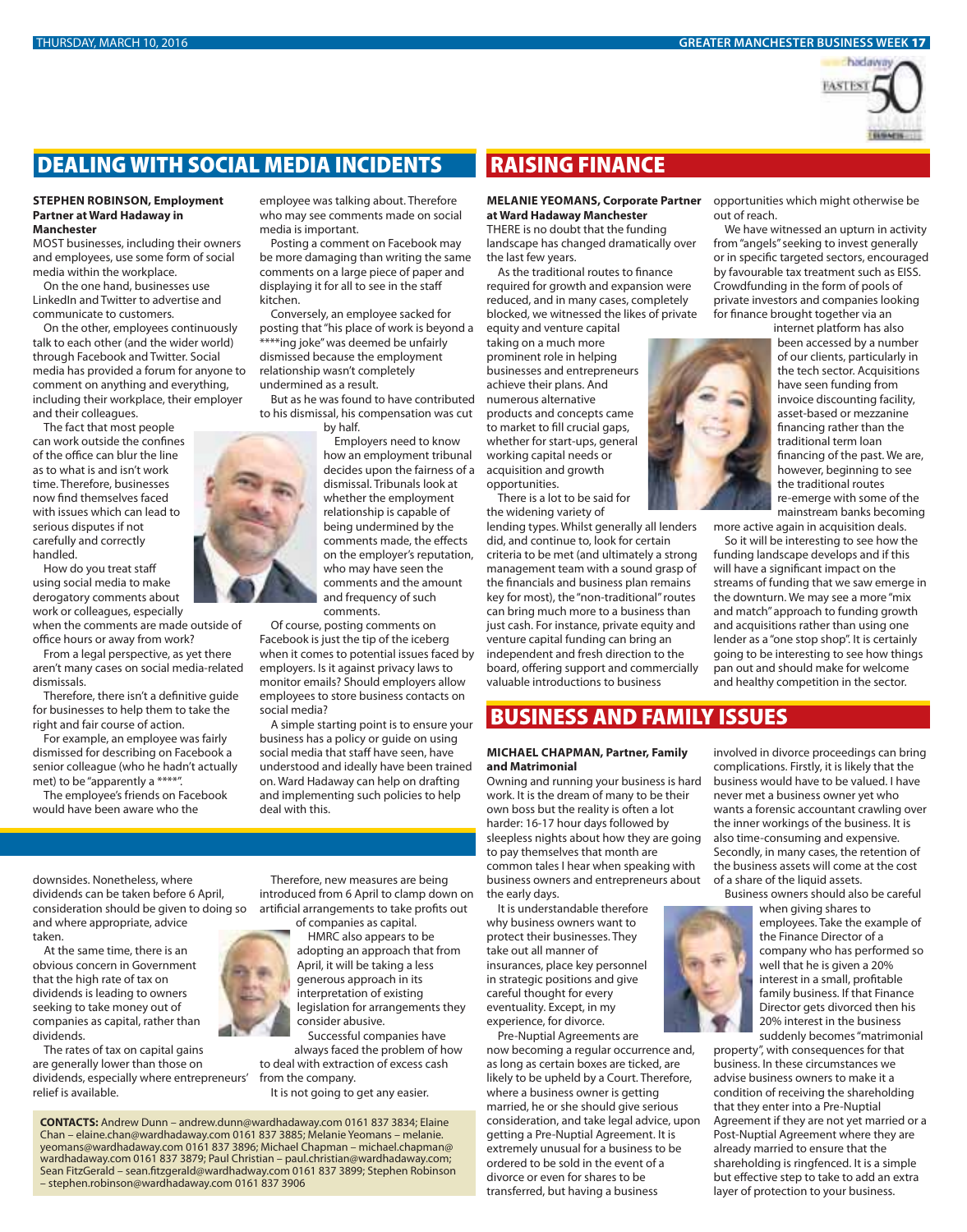### THURSDAY, MARCH 10, 2016 **GREATER MANCHESTER BUSINESS WEEK 17**



### **DEALING WITH SOCIAL MEDIA INCIDENTS**

### **STEPHEN ROBINSON, Employment Partner at Ward Hadaway in Manchester**

MOST businesses, including their owners and employees, use some form of social media within the workplace.

On the one hand, businesses use LinkedIn and Twitter to advertise and communicate to customers.

On the other, employees continuously talk to each other (and the wider world) through Facebook and Twitter. Social media has provided a forum for anyone to comment on anything and everything, including their workplace, their employer and their colleagues.

The fact that most people can work outside the confines of the office can blur the line as to what is and isn't work time. Therefore, businesses now find themselves faced with issues which can lead to serious disputes if not carefully and correctly handled.

How do you treat staff using social media to make derogatory comments about work or colleagues, especially

when the comments are made outside of office hours or away from work?

From a legal perspective, as yet there aren't many cases on social media-related dismissals.

Therefore, there isn't a definitive guide for businesses to help them to take the right and fair course of action.

For example, an employee was fairly dismissed for describing on Facebook a senior colleague (who he hadn't actually met) to be "apparently a \*\*\*\*".

The employee's friends on Facebook would have been aware who the

employee was talking about. Therefore who may see comments made on social media is important.

Posting a comment on Facebook may be more damaging than writing the same comments on a large piece of paper and displaying it for all to see in the staff kitchen.

Conversely, an employee sacked for posting that "his place of work is beyond a \*\*\*\*ing joke" was deemed be unfairly dismissed because the employment relationship wasn't completely undermined as a result.

But as he was found to have contributed to his dismissal, his compensation was cut by half.

> Employers need to know how an employment tribunal decides upon the fairness of a dismissal. Tribunals look at whether the employment relationship is capable of being undermined by the comments made, the effects on the employer's reputation, who may have seen the comments and the amount and frequency of such comments.

Of course, posting comments on Facebook is just the tip of the iceberg when it comes to potential issues faced by employers. Is it against privacy laws to monitor emails? Should employers allow employees to store business contacts on social media?

A simple starting point is to ensure your business has a policy or guide on using social media that staff have seen, have understood and ideally have been trained on. Ward Hadaway can help on drafting and implementing such policies to help deal with this.

downsides. Nonetheless, where dividends can be taken before 6 April, consideration should be given to doing so and where appropriate, advice taken.

At the same time, there is an obvious concern in Government that the high rate of tax on dividends is leading to owners seeking to take money out of companies as capital, rather than dividends.

The rates of tax on capital gains are generally lower than those on dividends, especially where entrepreneurs' relief is available.

Therefore, new measures are being introduced from 6 April to clamp down on artificial arrangements to take profits out of companies as capital.

HMRC also appears to be adopting an approach that from April, it will be taking a less generous approach in its interpretation of existing legislation for arrangements they consider abusive.

Successful companies have always faced the problem of how to deal with extraction of excess cash from the company.

It is not going to get any easier.

**CONTACTS:** Andrew Dunn – andrew.dunn@wardhadaway.com 0161 837 3834; Elaine Chan – elaine.chan@wardhadaway.com 0161 837 3885; Melanie Yeomans – melanie. yeomans@wardhadaway.com 0161 837 3896; Michael Chapman – michael.chapman@ wardhadaway.com 0161 837 3879; Paul Christian – paul.christian@wardhadaway.com; Sean FitzGerald – sean.fitzgerald@wardhadway.com 0161 837 3899; Stephen Robinson – stephen.robinson@wardhadaway.com 0161 837 3906

### **RAISING FINANCE**

### **MELANIE YEOMANS, Corporate Partner**  opportunities which might otherwise be **at Ward Hadaway Manchester**

THERE is no doubt that the funding landscape has changed dramatically over the last few years.

As the traditional routes to finance required for growth and expansion were reduced, and in many cases, completely blocked, we witnessed the likes of private

equity and venture capital taking on a much more prominent role in helping businesses and entrepreneurs achieve their plans. And numerous alternative products and concepts came to market to fill crucial gaps, whether for start-ups, general working capital needs or acquisition and growth opportunities.

There is a lot to be said for the widening variety of

lending types. Whilst generally all lenders did, and continue to, look for certain criteria to be met (and ultimately a strong management team with a sound grasp of the financials and business plan remains key for most), the "non-traditional" routes can bring much more to a business than just cash. For instance, private equity and venture capital funding can bring an independent and fresh direction to the board, offering support and commercially valuable introductions to business

### **BUSINESS AND FAMILY ISSUES**

### **MICHAEL CHAPMAN, Partner, Family and Matrimonial**

Owning and running your business is hard work. It is the dream of many to be their own boss but the reality is often a lot harder: 16-17 hour days followed by sleepless nights about how they are going to pay themselves that month are common tales I hear when speaking with business owners and entrepreneurs about the early days.

It is understandable therefore why business owners want to protect their businesses. They take out all manner of insurances, place key personnel in strategic positions and give careful thought for every eventuality. Except, in my experience, for divorce.

Pre-Nuptial Agreements are now becoming a regular occurrence and, as long as certain boxes are ticked, are likely to be upheld by a Court. Therefore, where a business owner is getting married, he or she should give serious consideration, and take legal advice, upon getting a Pre-Nuptial Agreement. It is extremely unusual for a business to be ordered to be sold in the event of a divorce or even for shares to be transferred, but having a business

out of reach.

We have witnessed an upturn in activity from "angels" seeking to invest generally or in specific targeted sectors, encouraged by favourable tax treatment such as EISS. Crowdfunding in the form of pools of private investors and companies looking for finance brought together via an

internet platform has also been accessed by a number of our clients, particularly in the tech sector. Acquisitions have seen funding from invoice discounting facility, asset-based or mezzanine financing rather than the traditional term loan financing of the past. We are, however, beginning to see the traditional routes re-emerge with some of the mainstream banks becoming

more active again in acquisition deals. So it will be interesting to see how the

funding landscape develops and if this will have a significant impact on the streams of funding that we saw emerge in the downturn. We may see a more "mix and match" approach to funding growth and acquisitions rather than using one lender as a "one stop shop". It is certainly going to be interesting to see how things pan out and should make for welcome and healthy competition in the sector.

involved in divorce proceedings can bring complications. Firstly, it is likely that the business would have to be valued. I have never met a business owner yet who wants a forensic accountant crawling over the inner workings of the business. It is also time-consuming and expensive. Secondly, in many cases, the retention of the business assets will come at the cost of a share of the liquid assets.

Business owners should also be careful

when giving shares to employees. Take the example of the Finance Director of a company who has performed so well that he is given a 20% interest in a small, profitable family business. If that Finance Director gets divorced then his 20% interest in the business suddenly becomes "matrimonial

property", with consequences for that business. In these circumstances we advise business owners to make it a condition of receiving the shareholding that they enter into a Pre-Nuptial Agreement if they are not yet married or a Post-Nuptial Agreement where they are already married to ensure that the shareholding is ringfenced. It is a simple but effective step to take to add an extra layer of protection to your business.